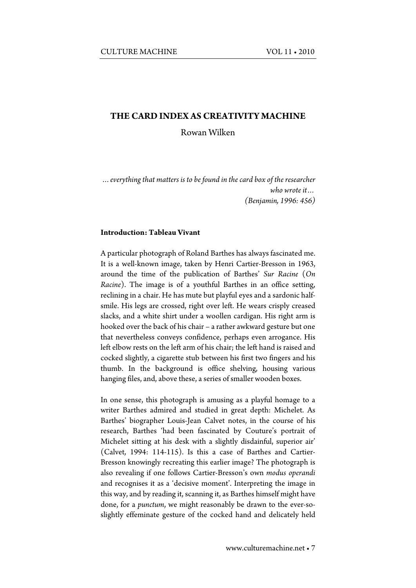#### **THE CARD INDEX AS CREATIVITY MACHINE**

Rowan Wilken

*…everything that matters is to be found in the card box of the researcher who wrote it… (Benjamin, 1996: 456)*

#### **Introduction: Tableau Vivant**

A particular photograph of Roland Barthes has always fascinated me. It is a well-known image, taken by Henri Cartier-Bresson in 1963, around the time of the publication of Barthes' *Sur Racine* (*On Racine*). The image is of a youthful Barthes in an office setting, reclining in a chair. He has mute but playful eyes and a sardonic halfsmile. His legs are crossed, right over left. He wears crisply creased slacks, and a white shirt under a woollen cardigan. His right arm is hooked over the back of his chair – a rather awkward gesture but one that nevertheless conveys confidence, perhaps even arrogance. His left elbow rests on the left arm of his chair; the left hand is raised and cocked slightly, a cigarette stub between his first two fingers and his thumb. In the background is office shelving, housing various hanging files, and, above these, a series of smaller wooden boxes.

In one sense, this photograph is amusing as a playful homage to a writer Barthes admired and studied in great depth: Michelet. As Barthes' biographer Louis-Jean Calvet notes, in the course of his research, Barthes 'had been fascinated by Couture's portrait of Michelet sitting at his desk with a slightly disdainful, superior air' (Calvet, 1994: 114-115). Is this a case of Barthes and Cartier-Bresson knowingly recreating this earlier image? The photograph is also revealing if one follows Cartier-Bresson's own *modus operandi*  and recognises it as a 'decisive moment'. Interpreting the image in this way, and by reading it, scanning it, as Barthes himself might have done, for a *punctum*, we might reasonably be drawn to the ever-soslightly effeminate gesture of the cocked hand and delicately held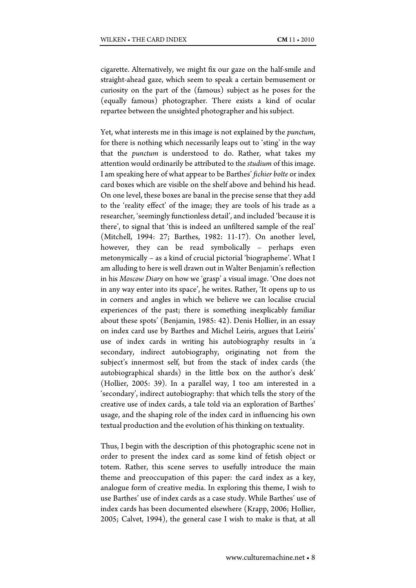cigarette. Alternatively, we might fix our gaze on the half-smile and straight-ahead gaze, which seem to speak a certain bemusement or curiosity on the part of the (famous) subject as he poses for the (equally famous) photographer. There exists a kind of ocular repartee between the unsighted photographer and his subject.

Yet, what interests me in this image is not explained by the *punctum*, for there is nothing which necessarily leaps out to 'sting' in the way that the *punctum* is understood to do. Rather, what takes my attention would ordinarily be attributed to the *studium* of this image. I am speaking here of what appear to be Barthes' *fichier boîte* or index card boxes which are visible on the shelf above and behind his head. On one level, these boxes are banal in the precise sense that they add to the 'reality effect' of the image; they are tools of his trade as a researcher, 'seemingly functionless detail', and included 'because it is there', to signal that 'this is indeed an unfiltered sample of the real' (Mitchell, 1994: 27; Barthes, 1982: 11-17). On another level, however, they can be read symbolically – perhaps even metonymically – as a kind of crucial pictorial 'biographeme'. What I am alluding to here is well drawn out in Walter Benjamin's reflection in his *Moscow Diary* on how we 'grasp' a visual image. 'One does not in any way enter into its space', he writes. Rather, 'It opens up to us in corners and angles in which we believe we can localise crucial experiences of the past; there is something inexplicably familiar about these spots' (Benjamin, 1985: 42). Denis Hollier, in an essay on index card use by Barthes and Michel Leiris, argues that Leiris' use of index cards in writing his autobiography results in 'a secondary, indirect autobiography, originating not from the subject's innermost self, but from the stack of index cards (the autobiographical shards) in the little box on the author's desk' (Hollier, 2005: 39). In a parallel way, I too am interested in a 'secondary', indirect autobiography: that which tells the story of the creative use of index cards, a tale told via an exploration of Barthes' usage, and the shaping role of the index card in influencing his own textual production and the evolution of his thinking on textuality.

Thus, I begin with the description of this photographic scene not in order to present the index card as some kind of fetish object or totem. Rather, this scene serves to usefully introduce the main theme and preoccupation of this paper: the card index as a key, analogue form of creative media. In exploring this theme, I wish to use Barthes' use of index cards as a case study. While Barthes' use of index cards has been documented elsewhere (Krapp, 2006; Hollier, 2005; Calvet, 1994), the general case I wish to make is that, at all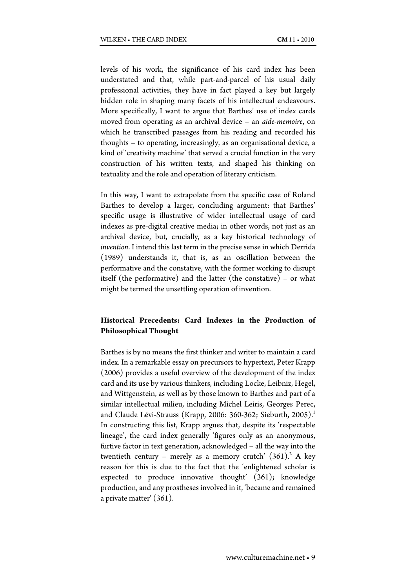levels of his work, the significance of his card index has been understated and that, while part-and-parcel of his usual daily professional activities, they have in fact played a key but largely hidden role in shaping many facets of his intellectual endeavours. More specifically, I want to argue that Barthes' use of index cards moved from operating as an archival device – an *aide-memoire*, on which he transcribed passages from his reading and recorded his thoughts – to operating, increasingly, as an organisational device, a kind of 'creativity machine' that served a crucial function in the very construction of his written texts, and shaped his thinking on textuality and the role and operation of literary criticism.

In this way, I want to extrapolate from the specific case of Roland Barthes to develop a larger, concluding argument: that Barthes' specific usage is illustrative of wider intellectual usage of card indexes as pre-digital creative media; in other words, not just as an archival device, but, crucially, as a key historical technology of *invention*. I intend this last term in the precise sense in which Derrida (1989) understands it, that is, as an oscillation between the performative and the constative, with the former working to disrupt itself (the performative) and the latter (the constative) – or what might be termed the unsettling operation of invention.

# **Historical Precedents: Card Indexes in the Production of Philosophical Thought**

Barthes is by no means the first thinker and writer to maintain a card index. In a remarkable essay on precursors to hypertext, Peter Krapp (2006) provides a useful overview of the development of the index card and its use by various thinkers, including Locke, Leibniz, Hegel, and Wittgenstein, as well as by those known to Barthes and part of a similar intellectual milieu, including Michel Leiris, Georges Perec, and Claude Lévi-Strauss (Krapp, 2006: 360-362; Sieburth, 2005).<sup>1</sup> In constructing this list, Krapp argues that, despite its 'respectable lineage', the card index generally 'figures only as an anonymous, furtive factor in text generation, acknowledged – all the way into the twentieth century – merely as a memory crutch'  $(361)^2$  A key reason for this is due to the fact that the 'enlightened scholar is expected to produce innovative thought' (361); knowledge production, and any prostheses involved in it, 'became and remained a private matter' (361).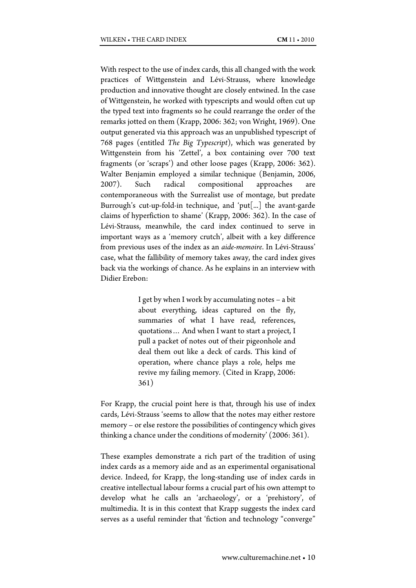With respect to the use of index cards, this all changed with the work practices of Wittgenstein and Lévi-Strauss, where knowledge production and innovative thought are closely entwined. In the case of Wittgenstein, he worked with typescripts and would often cut up the typed text into fragments so he could rearrange the order of the remarks jotted on them (Krapp, 2006: 362; von Wright, 1969). One output generated via this approach was an unpublished typescript of 768 pages (entitled *The Big Typescript*), which was generated by Wittgenstein from his 'Zettel', a box containing over 700 text fragments (or 'scraps') and other loose pages (Krapp, 2006: 362). Walter Benjamin employed a similar technique (Benjamin, 2006, 2007). Such radical compositional approaches contemporaneous with the Surrealist use of montage, but predate Burrough's cut-up-fold-in technique, and 'put[...] the avant-garde claims of hyperfiction to shame' (Krapp, 2006: 362). In the case of Lévi-Strauss, meanwhile, the card index continued to serve in important ways as a 'memory crutch', albeit with a key difference from previous uses of the index as an *aide-memoire*. In Lévi-Strauss' case, what the fallibility of memory takes away, the card index gives back via the workings of chance. As he explains in an interview with Didier Erebon:

> I get by when I work by accumulating notes – a bit about everything, ideas captured on the fly, summaries of what I have read, references, quotations… And when I want to start a project, I pull a packet of notes out of their pigeonhole and deal them out like a deck of cards. This kind of operation, where chance plays a role, helps me revive my failing memory. (Cited in Krapp, 2006: 361)

For Krapp, the crucial point here is that, through his use of index cards, Lévi-Strauss 'seems to allow that the notes may either restore memory – or else restore the possibilities of contingency which gives thinking a chance under the conditions of modernity' (2006: 361).

These examples demonstrate a rich part of the tradition of using index cards as a memory aide and as an experimental organisational device. Indeed, for Krapp, the long-standing use of index cards in creative intellectual labour forms a crucial part of his own attempt to develop what he calls an 'archaeology', or a 'prehistory', of multimedia. It is in this context that Krapp suggests the index card serves as a useful reminder that 'fiction and technology "converge"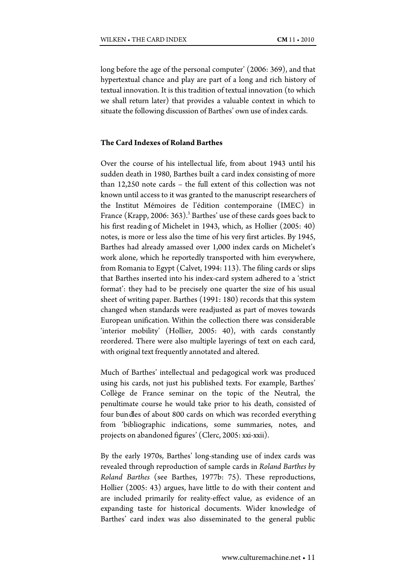long before the age of the personal computer' (2006: 369), and that hypertextual chance and play are part of a long and rich history of textual innovation. It is this tradition of textual innovation (to which we shall return later) that provides a valuable context in which to situate the following discussion of Barthes' own use of index cards.

# **The Card Indexes of Roland Barthes**

Over the course of his intellectual life, from about 1943 until his sudden death in 1980, Barthes built a card index consisting of more than 12,250 note cards – the full extent of this collection was not known until access to it was granted to the manuscript researchers of the Institut Mémoires de l'édition contemporaine (IMEC) in France (Krapp, 2006:  $363$ ).<sup>3</sup> Barthes' use of these cards goes back to his first readin g of Michelet in 1943, which, as Hollier (2005: 40) notes, is more or less also the time of his very first articles. By 1945, Barthes had already amassed over 1,000 index cards on Michelet's work alone, which he reportedly transported with him everywhere, from Romania to Egypt (Calvet, 1994: 113). The filing cards or slips that Barthes inserted into his index-card system adhered to a 'strict format': they had to be precisely one quarter the size of his usual sheet of writing paper. Barthes (1991: 180) records that this system changed when standards were readjusted as part of moves towards European unification. Within the collection there was considerable 'interior mobility' (Hollier, 2005: 40), with cards constantly reordered. There were also multiple layerings of text on each card, with original text frequently annotated and altered.

Much of Barthes' intellectual and pedagogical work was produced using his cards, not just his published texts. For example, Barthes' Collège de France seminar on the topic of the Neutral, the penultimate course he would take prior to his death, consisted of four bundles of about 800 cards on which was recorded everything from 'bibliographic indications, some summaries, notes, and projects on abandoned figures' (Clerc, 2005: xxi-xxii).

By the early 1970s, Barthes' long-standing use of index cards was revealed through reproduction of sample cards in *Roland Barthes by Roland Barthes* (see Barthes, 1977b: 75). These reproductions, Hollier (2005: 43) argues, have little to do with their content and are included primarily for reality-effect value, as evidence of an expanding taste for historical documents. Wider knowledge of Barthes' card index was also disseminated to the general public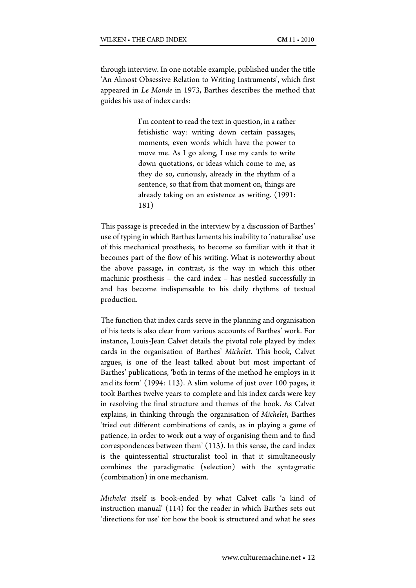through interview. In one notable example, published under the title 'An Almost Obsessive Relation to Writing Instruments', which first appeared in *Le Monde* in 1973, Barthes describes the method that guides his use of index cards:

> I'm content to read the text in question, in a rather fetishistic way: writing down certain passages, moments, even words which have the power to move me. As I go along, I use my cards to write down quotations, or ideas which come to me, as they do so, curiously, already in the rhythm of a sentence, so that from that moment on, things are already taking on an existence as writing. (1991: 181)

This passage is preceded in the interview by a discussion of Barthes' use of typing in which Barthes laments his inability to 'naturalise' use of this mechanical prosthesis, to become so familiar with it that it becomes part of the flow of his writing. What is noteworthy about the above passage, in contrast, is the way in which this other machinic prosthesis – the card index – has nestled successfully in and has become indispensable to his daily rhythms of textual production.

The function that index cards serve in the planning and organisation of his texts is also clear from various accounts of Barthes' work. For instance, Louis-Jean Calvet details the pivotal role played by index cards in the organisation of Barthes' *Michelet*. This book, Calvet argues, is one of the least talked about but most important of Barthes' publications, 'both in terms of the method he employs in it and its form' (1994: 113). A slim volume of just over 100 pages, it took Barthes twelve years to complete and his index cards were key in resolving the final structure and themes of the book. As Calvet explains, in thinking through the organisation of *Michelet*, Barthes 'tried out different combinations of cards, as in playing a game of patience, in order to work out a way of organising them and to find correspondences between them' (113). In this sense, the card index is the quintessential structuralist tool in that it simultaneously combines the paradigmatic (selection) with the syntagmatic (combination) in one mechanism.

*Michelet* itself is book-ended by what Calvet calls 'a kind of instruction manual' (114) for the reader in which Barthes sets out 'directions for use' for how the book is structured and what he sees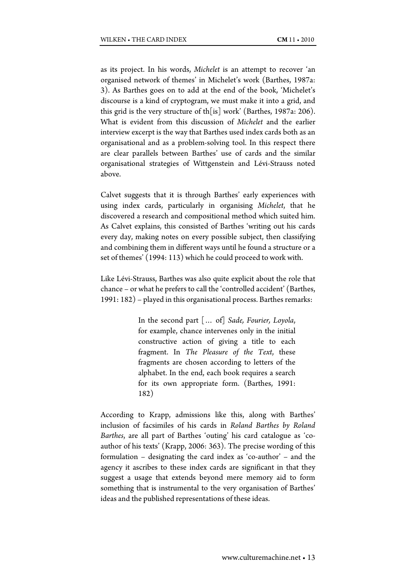as its project. In his words, *Michelet* is an attempt to recover 'an organised network of themes' in Michelet's work (Barthes, 1987a: 3). As Barthes goes on to add at the end of the book, 'Michelet's discourse is a kind of cryptogram, we must make it into a grid, and this grid is the very structure of th[is] work' (Barthes, 1987a: 206). What is evident from this discussion of *Michelet* and the earlier interview excerpt is the way that Barthes used index cards both as an organisational and as a problem-solving tool. In this respect there are clear parallels between Barthes' use of cards and the similar organisational strategies of Wittgenstein and Lévi-Strauss noted above.

Calvet suggests that it is through Barthes' early experiences with using index cards, particularly in organising *Michelet*, that he discovered a research and compositional method which suited him. As Calvet explains, this consisted of Barthes 'writing out his cards every day, making notes on every possible subject, then classifying and combining them in different ways until he found a structure or a set of themes' (1994: 113) which he could proceed to work with.

Like Lévi-Strauss, Barthes was also quite explicit about the role that chance – or what he prefers to call the 'controlled accident' (Barthes, 1991: 182) – played in this organisational process. Barthes remarks:

> In the second part [… of] *Sade, Fourier, Loyola*, for example, chance intervenes only in the initial constructive action of giving a title to each fragment. In *The Pleasure of the Text*, these fragments are chosen according to letters of the alphabet. In the end, each book requires a search for its own appropriate form. (Barthes, 1991: 182)

According to Krapp, admissions like this, along with Barthes' inclusion of facsimiles of his cards in *Roland Barthes by Roland Barthes*, are all part of Barthes 'outing' his card catalogue as 'coauthor of his texts' (Krapp, 2006: 363). The precise wording of this formulation – designating the card index as 'co-author' – and the agency it ascribes to these index cards are significant in that they suggest a usage that extends beyond mere memory aid to form something that is instrumental to the very organisation of Barthes' ideas and the published representations of these ideas.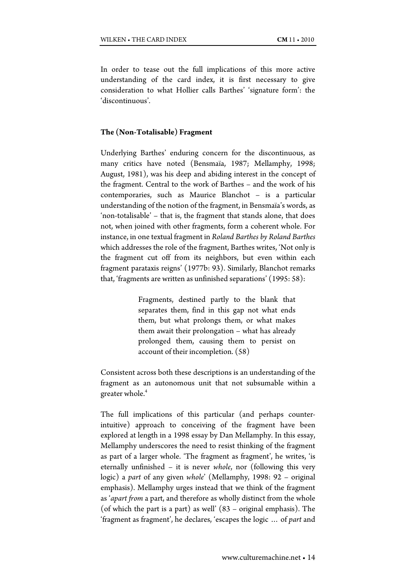In order to tease out the full implications of this more active understanding of the card index, it is first necessary to give consideration to what Hollier calls Barthes' 'signature form': the 'discontinuous'.

#### **The (Non-Totalisable) Fragment**

Underlying Barthes' enduring concern for the discontinuous, as many critics have noted (Bensmaïa, 1987; Mellamphy, 1998; August, 1981), was his deep and abiding interest in the concept of the fragment. Central to the work of Barthes – and the work of his contemporaries, such as Maurice Blanchot – is a particular understanding of the notion of the fragment, in Bensmaïa's words, as 'non-totalisable' – that is, the fragment that stands alone, that does not, when joined with other fragments, form a coherent whole. For instance, in one textual fragment in *Roland Barthes by Roland Barthes*  which addresses the role of the fragment, Barthes writes, 'Not only is the fragment cut off from its neighbors, but even within each fragment parataxis reigns' (1977b: 93). Similarly, Blanchot remarks that, 'fragments are written as unfinished separations' (1995: 58):

> Fragments, destined partly to the blank that separates them, find in this gap not what ends them, but what prolongs them, or what makes them await their prolongation – what has already prolonged them, causing them to persist on account of their incompletion. (58)

Consistent across both these descriptions is an understanding of the fragment as an autonomous unit that not subsumable within a greater whole.<sup>4</sup>

The full implications of this particular (and perhaps counterintuitive) approach to conceiving of the fragment have been explored at length in a 1998 essay by Dan Mellamphy. In this essay, Mellamphy underscores the need to resist thinking of the fragment as part of a larger whole. 'The fragment as fragment', he writes, 'is eternally unfinished – it is never *whole*, nor (following this very logic) a *part* of any given *whole*' (Mellamphy, 1998: 92 – original emphasis). Mellamphy urges instead that we think of the fragment as '*apart from* a part, and therefore as wholly distinct from the whole (of which the part is a part) as well' (83 – original emphasis). The 'fragment as fragment', he declares, 'escapes the logic … of *part* and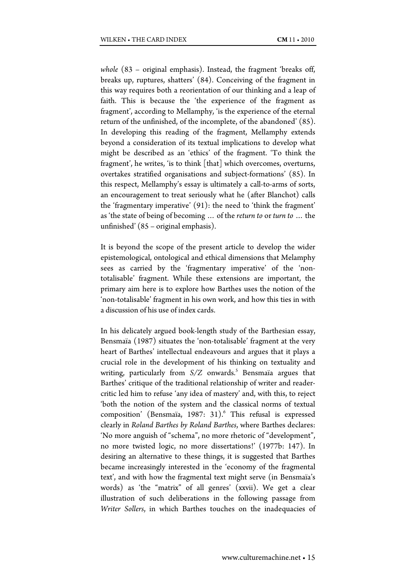*whole* (83 – original emphasis). Instead, the fragment 'breaks off, breaks up, ruptures, shatters' (84). Conceiving of the fragment in this way requires both a reorientation of our thinking and a leap of faith. This is because the 'the experience of the fragment as fragment', according to Mellamphy, 'is the experience of the eternal return of the unfinished, of the incomplete, of the abandoned' (85). In developing this reading of the fragment, Mellamphy extends beyond a consideration of its textual implications to develop what might be described as an 'ethics' of the fragment. 'To think the fragment', he writes, 'is to think [that] which overcomes, overturns, overtakes stratified organisations and subject-formations' (85). In this respect, Mellamphy's essay is ultimately a call-to-arms of sorts, an encouragement to treat seriously what he (after Blanchot) calls the 'fragmentary imperative' (91): the need to 'think the fragment' as 'the state of being of becoming … of the *return to* or *turn to* … the unfinished' (85 – original emphasis).

It is beyond the scope of the present article to develop the wider epistemological, ontological and ethical dimensions that Melamphy sees as carried by the 'fragmentary imperative' of the 'nontotalisable' fragment. While these extensions are important, the primary aim here is to explore how Barthes uses the notion of the 'non-totalisable' fragment in his own work, and how this ties in with a discussion of his use of index cards.

In his delicately argued book-length study of the Barthesian essay, Bensmaïa (1987) situates the 'non-totalisable' fragment at the very heart of Barthes' intellectual endeavours and argues that it plays a crucial role in the development of his thinking on textuality and writing, particularly from  $S/Z$  onwards.<sup>5</sup> Bensmaïa argues that Barthes' critique of the traditional relationship of writer and readercritic led him to refuse 'any idea of mastery' and, with this, to reject 'both the notion of the system and the classical norms of textual composition' (Bensmaïa, 1987: 31).<sup>6</sup> This refusal is expressed clearly in *Roland Barthes by Roland Barthes*, where Barthes declares: 'No more anguish of "schema", no more rhetoric of "development", no more twisted logic, no more dissertations!' (1977b: 147). In desiring an alternative to these things, it is suggested that Barthes became increasingly interested in the 'economy of the fragmental text', and with how the fragmental text might serve (in Bensmaïa's words) as 'the "matrix" of all genres' (xxvii). We get a clear illustration of such deliberations in the following passage from *Writer Sollers*, in which Barthes touches on the inadequacies of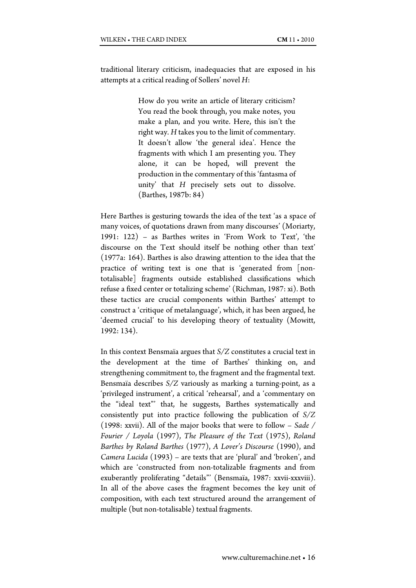traditional literary criticism, inadequacies that are exposed in his attempts at a critical reading of Sollers' novel *H*:

> How do you write an article of literary criticism? You read the book through, you make notes, you make a plan, and you write. Here, this isn't the right way. *H* takes you to the limit of commentary. It doesn't allow 'the general idea'. Hence the fragments with which I am presenting you. They alone, it can be hoped, will prevent the production in the commentary of this 'fantasma of unity' that *H* precisely sets out to dissolve. (Barthes, 1987b: 84)

Here Barthes is gesturing towards the idea of the text 'as a space of many voices, of quotations drawn from many discourses' (Moriarty, 1991: 122) – as Barthes writes in 'From Work to Text', 'the discourse on the Text should itself be nothing other than text' (1977a: 164). Barthes is also drawing attention to the idea that the practice of writing text is one that is 'generated from [nontotalisable] fragments outside established classifications which refuse a fixed center or totalizing scheme' (Richman, 1987: xi). Both these tactics are crucial components within Barthes' attempt to construct a 'critique of metalanguage', which, it has been argued, he 'deemed crucial' to his developing theory of textuality (Mowitt, 1992: 134).

In this context Bensmaïa argues that *S/Z* constitutes a crucial text in the development at the time of Barthes' thinking on, and strengthening commitment to, the fragment and the fragmental text. Bensmaïa describes *S/Z* variously as marking a turning-point, as a 'privileged instrument', a critical 'rehearsal', and a 'commentary on the "ideal text"' that, he suggests, Barthes systematically and consistently put into practice following the publication of *S/Z* (1998: xxvii). All of the major books that were to follow – *Sade / Fourier / Loyola* (1997), *The Pleasure of the Text* (1975), *Roland Barthes by Roland Barthes* (1977), *A Lover's Discourse* (1990), and *Camera Lucida* (1993) – are texts that are 'plural' and 'broken', and which are 'constructed from non-totalizable fragments and from exuberantly proliferating "details"' (Bensmaïa, 1987: xxvii-xxxviii). In all of the above cases the fragment becomes the key unit of composition, with each text structured around the arrangement of multiple (but non-totalisable) textual fragments.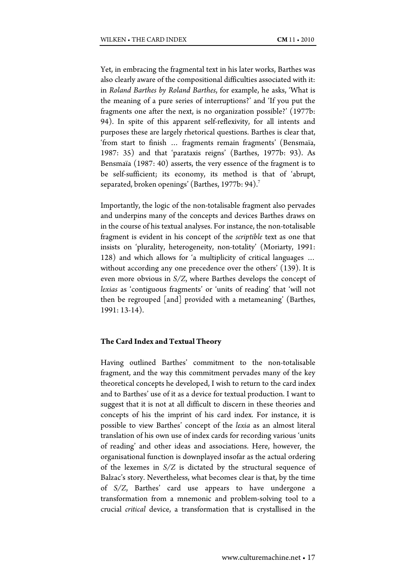Yet, in embracing the fragmental text in his later works, Barthes was also clearly aware of the compositional difficulties associated with it: in *Roland Barthes by Roland Barthes*, for example, he asks, 'What is the meaning of a pure series of interruptions?' and 'If you put the fragments one after the next, is no organization possible?' (1977b: 94). In spite of this apparent self-reflexivity, for all intents and purposes these are largely rhetorical questions. Barthes is clear that, 'from start to finish … fragments remain fragments' (Bensmaïa, 1987: 35) and that 'parataxis reigns' (Barthes, 1977b: 93). As Bensmaïa (1987: 40) asserts, the very essence of the fragment is to be self-sufficient; its economy, its method is that of 'abrupt, separated, broken openings' (Barthes, 1977b: 94).<sup>7</sup>

Importantly, the logic of the non-totalisable fragment also pervades and underpins many of the concepts and devices Barthes draws on in the course of his textual analyses. For instance, the non-totalisable fragment is evident in his concept of the *scriptible* text as one that insists on 'plurality, heterogeneity, non-totality' (Moriarty, 1991: 128) and which allows for 'a multiplicity of critical languages … without according any one precedence over the others' (139). It is even more obvious in *S/Z*, where Barthes develops the concept of *lexias* as 'contiguous fragments' or 'units of reading' that 'will not then be regrouped [and] provided with a metameaning' (Barthes, 1991: 13-14).

#### **The Card Index and Textual Theory**

Having outlined Barthes' commitment to the non-totalisable fragment, and the way this commitment pervades many of the key theoretical concepts he developed, I wish to return to the card index and to Barthes' use of it as a device for textual production. I want to suggest that it is not at all difficult to discern in these theories and concepts of his the imprint of his card index. For instance, it is possible to view Barthes' concept of the *lexia* as an almost literal translation of his own use of index cards for recording various 'units of reading' and other ideas and associations. Here, however, the organisational function is downplayed insofar as the actual ordering of the lexemes in *S/Z* is dictated by the structural sequence of Balzac's story. Nevertheless, what becomes clear is that, by the time of *S/Z*, Barthes' card use appears to have undergone a transformation from a mnemonic and problem-solving tool to a crucial *critical* device, a transformation that is crystallised in the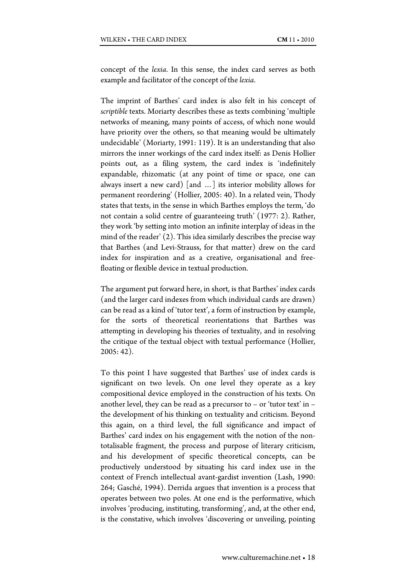concept of the *lexia*. In this sense, the index card serves as both example and facilitator of the concept of the *lexia*.

The imprint of Barthes' card index is also felt in his concept of *scriptible* texts. Moriarty describes these as texts combining 'multiple networks of meaning, many points of access, of which none would have priority over the others, so that meaning would be ultimately undecidable' (Moriarty, 1991: 119). It is an understanding that also mirrors the inner workings of the card index itself: as Denis Hollier points out, as a filing system, the card index is 'indefinitely expandable, rhizomatic (at any point of time or space, one can always insert a new card) [and …] its interior mobility allows for permanent reordering' (Hollier, 2005: 40). In a related vein, Thody states that texts, in the sense in which Barthes employs the term, 'do not contain a solid centre of guaranteeing truth' (1977: 2). Rather, they work 'by setting into motion an infinite interplay of ideas in the mind of the reader' (2). This idea similarly describes the precise way that Barthes (and Levi-Strauss, for that matter) drew on the card index for inspiration and as a creative, organisational and freefloating or flexible device in textual production.

The argument put forward here, in short, is that Barthes' index cards (and the larger card indexes from which individual cards are drawn) can be read as a kind of 'tutor text', a form of instruction by example, for the sorts of theoretical reorientations that Barthes was attempting in developing his theories of textuality, and in resolving the critique of the textual object with textual performance (Hollier, 2005: 42).

To this point I have suggested that Barthes' use of index cards is significant on two levels. On one level they operate as a key compositional device employed in the construction of his texts. On another level, they can be read as a precursor to  $-$  or 'tutor text' in  $$ the development of his thinking on textuality and criticism. Beyond this again, on a third level, the full significance and impact of Barthes' card index on his engagement with the notion of the nontotalisable fragment, the process and purpose of literary criticism, and his development of specific theoretical concepts, can be productively understood by situating his card index use in the context of French intellectual avant-gardist invention (Lash, 1990: 264; Gasché, 1994). Derrida argues that invention is a process that operates between two poles. At one end is the performative, which involves 'producing, instituting, transforming', and, at the other end, is the constative, which involves 'discovering or unveiling, pointing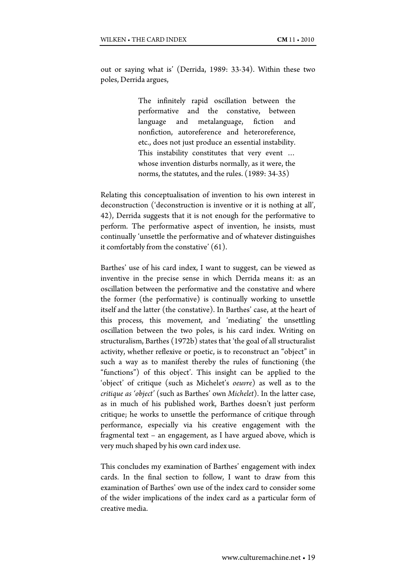out or saying what is' (Derrida, 1989: 33-34). Within these two poles, Derrida argues,

> The infinitely rapid oscillation between the performative and the constative, between language and metalanguage, fiction and nonfiction, autoreference and heteroreference, etc., does not just produce an essential instability. This instability constitutes that very event … whose invention disturbs normally, as it were, the norms, the statutes, and the rules. (1989: 34-35)

Relating this conceptualisation of invention to his own interest in deconstruction ('deconstruction is inventive or it is nothing at all', 42), Derrida suggests that it is not enough for the performative to perform. The performative aspect of invention, he insists, must continually 'unsettle the performative and of whatever distinguishes it comfortably from the constative' (61).

Barthes' use of his card index, I want to suggest, can be viewed as inventive in the precise sense in which Derrida means it: as an oscillation between the performative and the constative and where the former (the performative) is continually working to unsettle itself and the latter (the constative). In Barthes' case, at the heart of this process, this movement, and 'mediating' the unsettling oscillation between the two poles, is his card index. Writing on structuralism, Barthes (1972b) states that 'the goal of all structuralist activity, whether reflexive or poetic, is to reconstruct an "object" in such a way as to manifest thereby the rules of functioning (the "functions") of this object'. This insight can be applied to the 'object' of critique (such as Michelet's *oeuvre*) as well as to the *critique as 'object'* (such as Barthes' own *Michelet*). In the latter case, as in much of his published work, Barthes doesn't just perform critique; he works to unsettle the performance of critique through performance, especially via his creative engagement with the fragmental text – an engagement, as I have argued above, which is very much shaped by his own card index use.

This concludes my examination of Barthes' engagement with index cards. In the final section to follow, I want to draw from this examination of Barthes' own use of the index card to consider some of the wider implications of the index card as a particular form of creative media.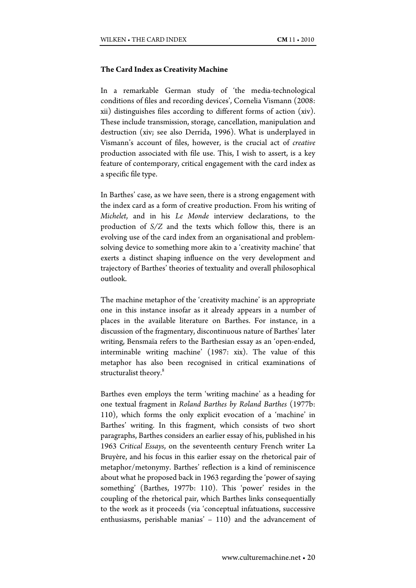## **The Card Index as Creativity Machine**

In a remarkable German study of 'the media-technological conditions of files and recording devices', Cornelia Vismann (2008: xii) distinguishes files according to different forms of action (xiv). These include transmission, storage, cancellation, manipulation and destruction (xiv; see also Derrida, 1996). What is underplayed in Vismann's account of files, however, is the crucial act of *creative* production associated with file use. This, I wish to assert, is a key feature of contemporary, critical engagement with the card index as a specific file type.

In Barthes' case, as we have seen, there is a strong engagement with the index card as a form of creative production. From his writing of *Michelet*, and in his *Le Monde* interview declarations, to the production of *S/Z* and the texts which follow this, there is an evolving use of the card index from an organisational and problemsolving device to something more akin to a 'creativity machine' that exerts a distinct shaping influence on the very development and trajectory of Barthes' theories of textuality and overall philosophical outlook.

The machine metaphor of the 'creativity machine' is an appropriate one in this instance insofar as it already appears in a number of places in the available literature on Barthes. For instance, in a discussion of the fragmentary, discontinuous nature of Barthes' later writing, Bensmaïa refers to the Barthesian essay as an 'open-ended, interminable writing machine' (1987: xix). The value of this metaphor has also been recognised in critical examinations of structuralist theory.<sup>8</sup>

Barthes even employs the term 'writing machine' as a heading for one textual fragment in *Roland Barthes by Roland Barthes* (1977b: 110), which forms the only explicit evocation of a 'machine' in Barthes' writing. In this fragment, which consists of two short paragraphs, Barthes considers an earlier essay of his, published in his 1963 *Critical Essays*, on the seventeenth century French writer La Bruyère, and his focus in this earlier essay on the rhetorical pair of metaphor/metonymy. Barthes' reflection is a kind of reminiscence about what he proposed back in 1963 regarding the 'power of saying something' (Barthes, 1977b: 110). This 'power' resides in the coupling of the rhetorical pair, which Barthes links consequentially to the work as it proceeds (via 'conceptual infatuations, successive enthusiasms, perishable manias' – 110) and the advancement of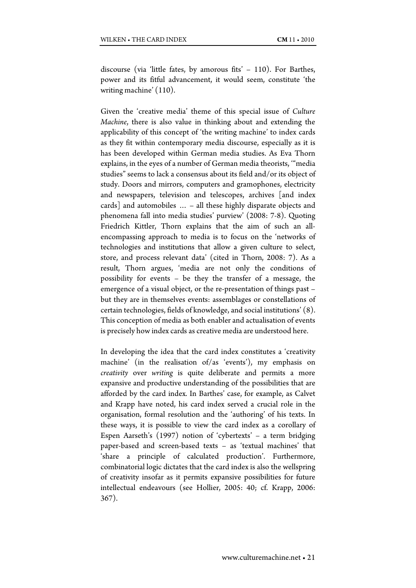discourse (via 'little fates, by amorous fits' – 110). For Barthes, power and its fitful advancement, it would seem, constitute 'the writing machine' (110).

Given the 'creative media' theme of this special issue of *Culture Machine*, there is also value in thinking about and extending the applicability of this concept of 'the writing machine' to index cards as they fit within contemporary media discourse, especially as it is has been developed within German media studies. As Eva Thorn explains, in the eyes of a number of German media theorists, '"media studies" seems to lack a consensus about its field and/or its object of study. Doors and mirrors, computers and gramophones, electricity and newspapers, television and telescopes, archives [and index cards] and automobiles … – all these highly disparate objects and phenomena fall into media studies' purview' (2008: 7-8). Quoting Friedrich Kittler, Thorn explains that the aim of such an allencompassing approach to media is to focus on the 'networks of technologies and institutions that allow a given culture to select, store, and process relevant data' (cited in Thorn, 2008: 7). As a result, Thorn argues, 'media are not only the conditions of possibility for events – be they the transfer of a message, the emergence of a visual object, or the re-presentation of things past – but they are in themselves events: assemblages or constellations of certain technologies, fields of knowledge, and social institutions' (8). This conception of media as both enabler and actualisation of events is precisely how index cards as creative media are understood here.

In developing the idea that the card index constitutes a 'creativity machine' (in the realisation of/as 'events'), my emphasis on *creativity* over *writing* is quite deliberate and permits a more expansive and productive understanding of the possibilities that are afforded by the card index. In Barthes' case, for example, as Calvet and Krapp have noted, his card index served a crucial role in the organisation, formal resolution and the 'authoring' of his texts. In these ways, it is possible to view the card index as a corollary of Espen Aarseth's (1997) notion of 'cybertexts' – a term bridging paper-based and screen-based texts – as 'textual machines' that 'share a principle of calculated production'. Furthermore, combinatorial logic dictates that the card index is also the wellspring of creativity insofar as it permits expansive possibilities for future intellectual endeavours (see Hollier, 2005: 40; cf. Krapp, 2006: 367).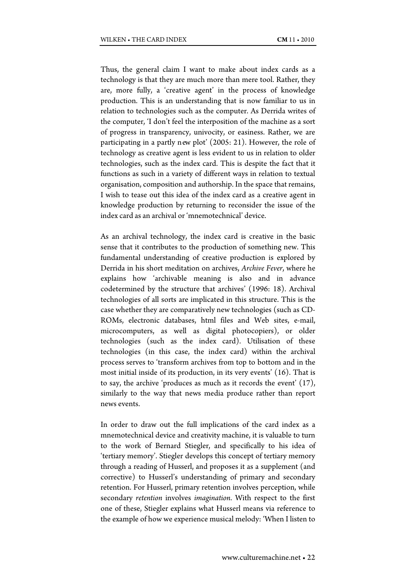Thus, the general claim I want to make about index cards as a technology is that they are much more than mere tool. Rather, they are, more fully, a 'creative agent' in the process of knowledge production. This is an understanding that is now familiar to us in relation to technologies such as the computer. As Derrida writes of the computer, 'I don't feel the interposition of the machine as a sort of progress in transparency, univocity, or easiness. Rather, we are participating in a partly new plot' (2005: 21). However, the role of technology as creative agent is less evident to us in relation to older technologies, such as the index card. This is despite the fact that it functions as such in a variety of different ways in relation to textual organisation, composition and authorship. In the space that remains, I wish to tease out this idea of the index card as a creative agent in knowledge production by returning to reconsider the issue of the index card as an archival or 'mnemotechnical' device.

As an archival technology, the index card is creative in the basic sense that it contributes to the production of something new. This fundamental understanding of creative production is explored by Derrida in his short meditation on archives, *Archive Fever*, where he explains how 'archivable meaning is also and in advance codetermined by the structure that archives' (1996: 18). Archival technologies of all sorts are implicated in this structure. This is the case whether they are comparatively new technologies (such as CD-ROMs, electronic databases, html files and Web sites, e-mail, microcomputers, as well as digital photocopiers), or older technologies (such as the index card). Utilisation of these technologies (in this case, the index card) within the archival process serves to 'transform archives from top to bottom and in the most initial inside of its production, in its very events' (16). That is to say, the archive 'produces as much as it records the event' (17), similarly to the way that news media produce rather than report news events.

In order to draw out the full implications of the card index as a mnemotechnical device and creativity machine, it is valuable to turn to the work of Bernard Stiegler, and specifically to his idea of 'tertiary memory'. Stiegler develops this concept of tertiary memory through a reading of Husserl, and proposes it as a supplement (and corrective) to Husserl's understanding of primary and secondary retention. For Husserl, primary retention involves perception, while secondary *retention* involves *imagination*. With respect to the first one of these, Stiegler explains what Husserl means via reference to the example of how we experience musical melody: 'When I listen to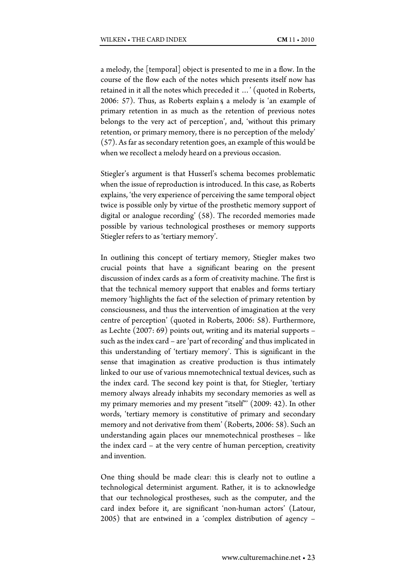a melody, the [temporal] object is presented to me in a flow. In the course of the flow each of the notes which presents itself now has retained in it all the notes which preceded it …' (quoted in Roberts, 2006: 57). Thus, as Roberts explain g a melody is 'an example of primary retention in as much as the retention of previous notes belongs to the very act of perception', and, 'without this primary retention, or primary memory, there is no perception of the melody' (57). As far as secondary retention goes, an example of this would be when we recollect a melody heard on a previous occasion.

Stiegler's argument is that Husserl's schema becomes problematic when the issue of reproduction is introduced. In this case, as Roberts explains, 'the very experience of perceiving the same temporal object twice is possible only by virtue of the prosthetic memory support of digital or analogue recording' (58). The recorded memories made possible by various technological prostheses or memory supports Stiegler refers to as 'tertiary memory'.

In outlining this concept of tertiary memory, Stiegler makes two crucial points that have a significant bearing on the present discussion of index cards as a form of creativity machine. The first is that the technical memory support that enables and forms tertiary memory 'highlights the fact of the selection of primary retention by consciousness, and thus the intervention of imagination at the very centre of perception' (quoted in Roberts, 2006: 58). Furthermore, as Lechte (2007: 69) points out, writing and its material supports – such as the index card – are 'part of recording' and thus implicated in this understanding of 'tertiary memory'. This is significant in the sense that imagination as creative production is thus intimately linked to our use of various mnemotechnical textual devices, such as the index card. The second key point is that, for Stiegler, 'tertiary memory always already inhabits my secondary memories as well as my primary memories and my present "itself"' (2009: 42). In other words, 'tertiary memory is constitutive of primary and secondary memory and not derivative from them' (Roberts, 2006: 58). Such an understanding again places our mnemotechnical prostheses – like the index card – at the very centre of human perception, creativity and invention.

One thing should be made clear: this is clearly not to outline a technological determinist argument. Rather, it is to acknowledge that our technological prostheses, such as the computer, and the card index before it, are significant 'non-human actors' (Latour, 2005) that are entwined in a 'complex distribution of agency –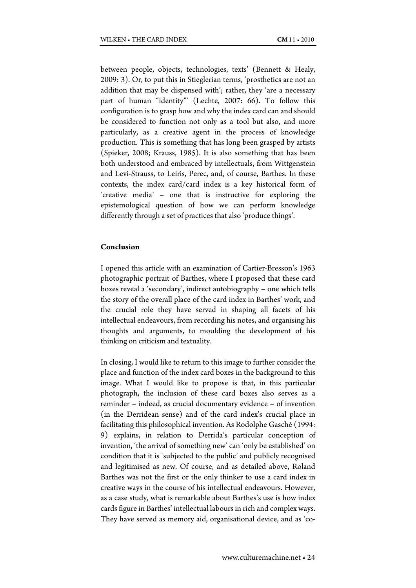between people, objects, technologies, texts' (Bennett & Healy, 2009: 3). Or, to put this in Stieglerian terms, 'prosthetics are not an addition that may be dispensed with'; rather, they 'are a necessary part of human "identity"' (Lechte, 2007: 66). To follow this configuration is to grasp how and why the index card can and should be considered to function not only as a tool but also, and more particularly, as a creative agent in the process of knowledge production. This is something that has long been grasped by artists (Spieker, 2008; Krauss, 1985). It is also something that has been both understood and embraced by intellectuals, from Wittgenstein and Levi-Strauss, to Leiris, Perec, and, of course, Barthes. In these contexts, the index card/card index is a key historical form of 'creative media' – one that is instructive for exploring the epistemological question of how we can perform knowledge differently through a set of practices that also 'produce things'.

#### **Conclusion**

I opened this article with an examination of Cartier-Bresson's 1963 photographic portrait of Barthes, where I proposed that these card boxes reveal a 'secondary', indirect autobiography – one which tells the story of the overall place of the card index in Barthes' work, and the crucial role they have served in shaping all facets of his intellectual endeavours, from recording his notes, and organising his thoughts and arguments, to moulding the development of his thinking on criticism and textuality.

In closing, I would like to return to this image to further consider the place and function of the index card boxes in the background to this image. What I would like to propose is that, in this particular photograph, the inclusion of these card boxes also serves as a reminder – indeed, as crucial documentary evidence – of invention (in the Derridean sense) and of the card index's crucial place in facilitating this philosophical invention. As Rodolphe Gasché (1994: 9) explains, in relation to Derrida's particular conception of invention, 'the arrival of something new' can 'only be established' on condition that it is 'subjected to the public' and publicly recognised and legitimised as new. Of course, and as detailed above, Roland Barthes was not the first or the only thinker to use a card index in creative ways in the course of his intellectual endeavours. However, as a case study, what is remarkable about Barthes's use is how index cards figure in Barthes' intellectual labours in rich and complex ways. They have served as memory aid, organisational device, and as 'co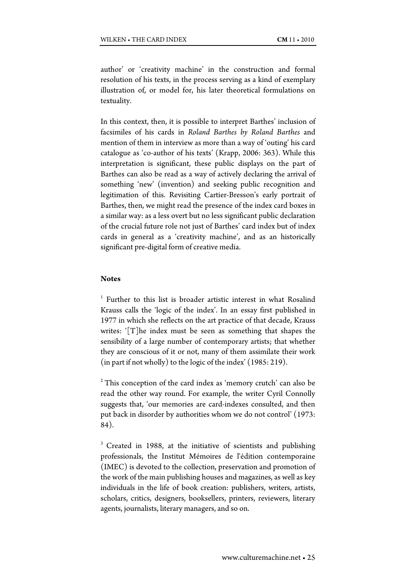author' or 'creativity machine' in the construction and formal resolution of his texts, in the process serving as a kind of exemplary illustration of, or model for, his later theoretical formulations on textuality.

In this context, then, it is possible to interpret Barthes' inclusion of facsimiles of his cards in *Roland Barthes by Roland Barthes* and mention of them in interview as more than a way of 'outing' his card catalogue as 'co-author of his texts' (Krapp, 2006: 363). While this interpretation is significant, these public displays on the part of Barthes can also be read as a way of actively declaring the arrival of something 'new' (invention) and seeking public recognition and legitimation of this. Revisiting Cartier-Bresson's early portrait of Barthes, then, we might read the presence of the index card boxes in a similar way: as a less overt but no less significant public declaration of the crucial future role not just of Barthes' card index but of index cards in general as a 'creativity machine', and as an historically significant pre-digital form of creative media.

# **Notes**

<sup>1</sup> Further to this list is broader artistic interest in what Rosalind Krauss calls the 'logic of the index'. In an essay first published in 1977 in which she reflects on the art practice of that decade, Krauss writes: '[T]he index must be seen as something that shapes the sensibility of a large number of contemporary artists; that whether they are conscious of it or not, many of them assimilate their work (in part if not wholly) to the logic of the index' (1985: 219).

<sup>2</sup> This conception of the card index as 'memory crutch' can also be read the other way round. For example, the writer Cyril Connolly suggests that, 'our memories are card-indexes consulted, and then put back in disorder by authorities whom we do not control' (1973: 84).

<sup>3</sup> Created in 1988, at the initiative of scientists and publishing professionals, the Institut Mémoires de l'édition contemporaine (IMEC) is devoted to the collection, preservation and promotion of the work of the main publishing houses and magazines, as well as key individuals in the life of book creation: publishers, writers, artists, scholars, critics, designers, booksellers, printers, reviewers, literary agents, journalists, literary managers, and so on.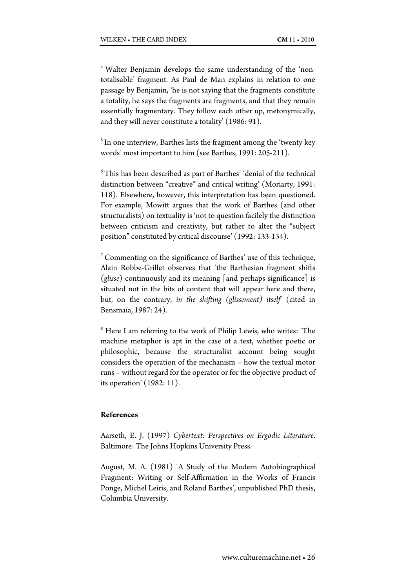4 Walter Benjamin develops the same understanding of the 'nontotalisable' fragment. As Paul de Man explains in relation to one passage by Benjamin, 'he is not saying that the fragments constitute a totality, he says the fragments are fragments, and that they remain essentially fragmentary. They follow each other up, metonymically, and they will never constitute a totality' (1986: 91).

 $<sup>5</sup>$  In one interview, Barthes lists the fragment among the 'twenty key</sup> words' most important to him (see Barthes, 1991: 205-211).

 $6$ This has been described as part of Barthes' 'denial of the technical distinction between "creative" and critical writing' (Moriarty, 1991: 118). Elsewhere, however, this interpretation has been questioned. For example, Mowitt argues that the work of Barthes (and other structuralists) on textuality is 'not to question facilely the distinction between criticism and creativity, but rather to alter the "subject position" constituted by critical discourse' (1992: 133-134).

7 Commenting on the significance of Barthes' use of this technique, Alain Robbe-Grillet observes that 'the Barthesian fragment shifts (*glisse*) continuously and its meaning [and perhaps significance] is situated not in the bits of content that will appear here and there, but, on the contrary, *in the shifting (glissement) itself*' (cited in Bensmaïa, 1987: 24).

<sup>8</sup> Here I am referring to the work of Philip Lewis, who writes: 'The machine metaphor is apt in the case of a text, whether poetic or philosophic, because the structuralist account being sought considers the operation of the mechanism – how the textual motor runs – without regard for the operator or for the objective product of its operation' (1982: 11).

## **References**

Aarseth, E. J. (1997) *Cybertext: Perspectives on Ergodic Literature*. Baltimore: The Johns Hopkins University Press.

August, M. A. (1981) 'A Study of the Modern Autobiographical Fragment: Writing or Self-Affirmation in the Works of Francis Ponge, Michel Leiris, and Roland Barthes', unpublished PhD thesis, Columbia University.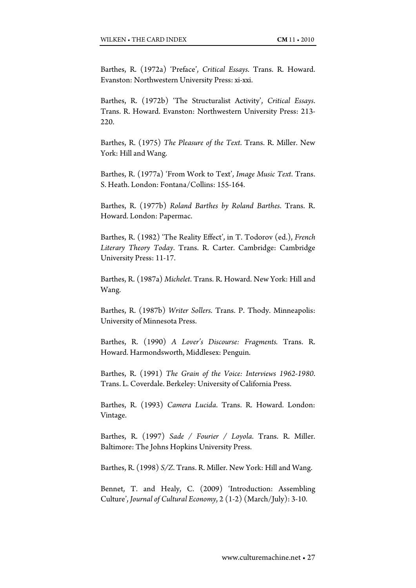Barthes, R. (1972a) 'Preface', *Critical Essays*. Trans. R. Howard. Evanston: Northwestern University Press: xi-xxi.

Barthes, R. (1972b) 'The Structuralist Activity', *Critical Essays*. Trans. R. Howard. Evanston: Northwestern University Press: 213- 220.

Barthes, R. (1975) *The Pleasure of the Text*. Trans. R. Miller. New York: Hill and Wang.

Barthes, R. (1977a) 'From Work to Text', *Image Music Text*. Trans. S. Heath. London: Fontana/Collins: 155-164.

Barthes, R. (1977b) *Roland Barthes by Roland Barthes*. Trans. R. Howard. London: Papermac.

Barthes, R. (1982) 'The Reality Effect', in T. Todorov (ed.), *French Literary Theory Today*. Trans. R. Carter. Cambridge: Cambridge University Press: 11-17.

Barthes, R. (1987a) *Michelet*. Trans. R. Howard. New York: Hill and Wang.

Barthes, R. (1987b) *Writer Sollers*. Trans. P. Thody. Minneapolis: University of Minnesota Press.

Barthes, R. (1990) *A Lover's Discourse: Fragments.* Trans. R. Howard. Harmondsworth, Middlesex: Penguin.

Barthes, R. (1991) *The Grain of the Voice: Interviews 1962-1980*. Trans. L. Coverdale. Berkeley: University of California Press.

Barthes, R. (1993) *Camera Lucida*. Trans. R. Howard. London: Vintage.

Barthes, R. (1997) *Sade / Fourier / Loyola*. Trans. R. Miller. Baltimore: The Johns Hopkins University Press.

Barthes, R. (1998) *S/Z*. Trans. R. Miller. New York: Hill and Wang.

Bennet, T. and Healy, C. (2009) 'Introduction: Assembling Culture', *Journal of Cultural Economy*, 2 (1-2) (March/July): 3-10.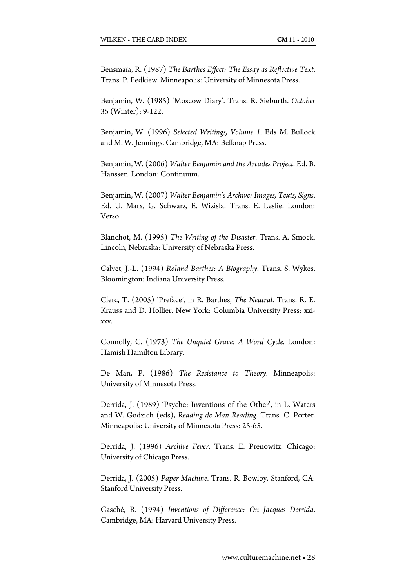Bensmaïa, R. (1987) *The Barthes Effect: The Essay as Reflective Text*. Trans. P. Fedkiew. Minneapolis: University of Minnesota Press.

Benjamin, W. (1985) 'Moscow Diary'. Trans. R. Sieburth. *October* 35 (Winter): 9-122.

Benjamin, W. (1996) *Selected Writings, Volume 1.* Eds M. Bullock and M. W. Jennings. Cambridge, MA: Belknap Press.

Benjamin, W. (2006) *Walter Benjamin and the Arcades Project*. Ed. B. Hanssen. London: Continuum.

Benjamin, W. (2007) *Walter Benjamin's Archive: Images, Texts, Signs*. Ed. U. Marx, G. Schwarz, E. Wizisla. Trans. E. Leslie. London: Verso.

Blanchot, M. (1995) *The Writing of the Disaster*. Trans. A. Smock. Lincoln, Nebraska: University of Nebraska Press.

Calvet, J.-L. (1994) *Roland Barthes: A Biography*. Trans. S. Wykes. Bloomington: Indiana University Press.

Clerc, T. (2005) 'Preface', in R. Barthes, *The Neutral*. Trans. R. E. Krauss and D. Hollier. New York: Columbia University Press: xxixxv.

Connolly, C. (1973) *The Unquiet Grave: A Word Cycle.* London: Hamish Hamilton Library.

De Man, P. (1986) *The Resistance to Theory*. Minneapolis: University of Minnesota Press.

Derrida, J. (1989) 'Psyche: Inventions of the Other', in L. Waters and W. Godzich (eds), *Reading de Man Reading*. Trans. C. Porter. Minneapolis: University of Minnesota Press: 25-65.

Derrida, J. (1996) *Archive Fever*. Trans. E. Prenowitz. Chicago: University of Chicago Press.

Derrida, J. (2005) *Paper Machine*. Trans. R. Bowlby. Stanford, CA: Stanford University Press.

Gasché, R. (1994) *Inventions of Difference: On Jacques Derrida*. Cambridge, MA: Harvard University Press.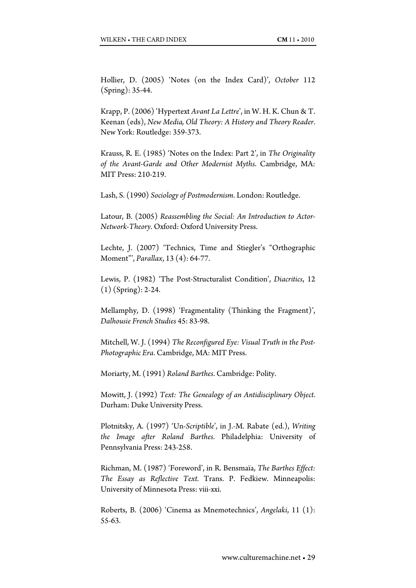Hollier, D. (2005) 'Notes (on the Index Card)', *October* 112 (Spring): 35-44.

Krapp, P. (2006) 'Hypertext *Avant La Lettre*', in W. H. K. Chun & T. Keenan (eds), *New Media, Old Theory: A History and Theory Reader*. New York: Routledge: 359-373.

Krauss, R. E. (1985) 'Notes on the Index: Part 2', in *The Originality of the Avant-Garde and Other Modernist Myths*. Cambridge, MA: MIT Press: 210-219.

Lash, S. (1990) *Sociology of Postmodernism*. London: Routledge.

Latour, B. (2005) *Reassembling the Social: An Introduction to Actor-Network-Theory*. Oxford: Oxford University Press.

Lechte, J. (2007) 'Technics, Time and Stiegler's "Orthographic Moment"', *Parallax*, 13 (4): 64-77.

Lewis, P. (1982) 'The Post-Structuralist Condition', *Diacritics*, 12 (1) (Spring): 2-24.

Mellamphy, D. (1998) 'Fragmentality (Thinking the Fragment)', *Dalhousie French Studies* 45: 83-98.

Mitchell, W. J. (1994) *The Reconfigured Eye: Visual Truth in the Post-Photographic Era*. Cambridge, MA: MIT Press.

Moriarty, M. (1991) *Roland Barthes*. Cambridge: Polity.

Mowitt, J. (1992) *Text: The Genealogy of an Antidisciplinary Object*. Durham: Duke University Press.

Plotnitsky, A. (1997) 'Un-*Scriptible*', in J.-M. Rabate (ed.), *Writing the Image after Roland Barthes*. Philadelphia: University of Pennsylvania Press: 243-258.

Richman, M. (1987) 'Foreword', in R. Bensmaïa, *The Barthes Effect: The Essay as Reflective Text.* Trans. P. Fedkiew. Minneapolis: University of Minnesota Press: viii-xxi.

Roberts, B. (2006) 'Cinema as Mnemotechnics', *Angelaki*, 11 (1): 55-63.